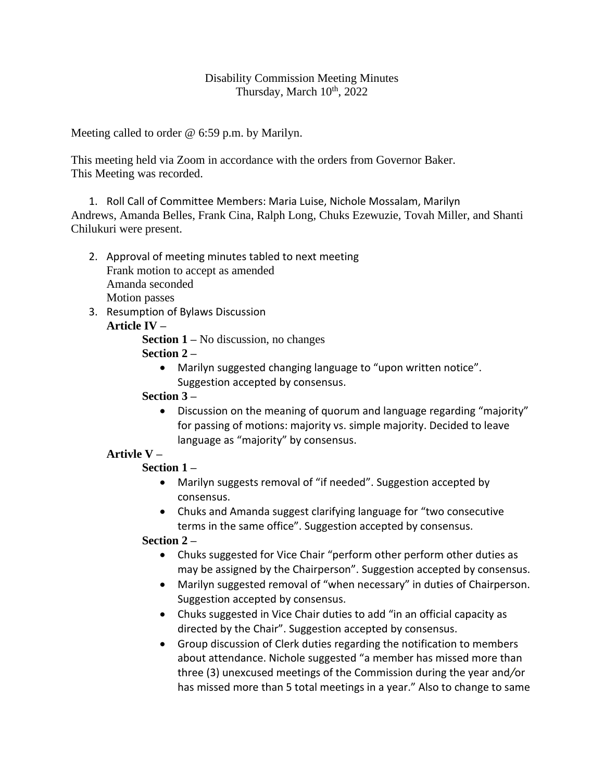## Disability Commission Meeting Minutes Thursday, March  $10^{th}$ , 2022

Meeting called to order @ 6:59 p.m. by Marilyn.

This meeting held via Zoom in accordance with the orders from Governor Baker. This Meeting was recorded.

1. Roll Call of Committee Members: Maria Luise, Nichole Mossalam, Marilyn Andrews, Amanda Belles, Frank Cina, Ralph Long, Chuks Ezewuzie, Tovah Miller, and Shanti Chilukuri were present.

- 2. Approval of meeting minutes tabled to next meeting Frank motion to accept as amended Amanda seconded Motion passes
- 3. Resumption of Bylaws Discussion **Article IV –**

**Section 1 –** No discussion, no changes **Section 2 –**

• Marilyn suggested changing language to "upon written notice". Suggestion accepted by consensus.

# **Section 3 –**

• Discussion on the meaning of quorum and language regarding "majority" for passing of motions: majority vs. simple majority. Decided to leave language as "majority" by consensus.

# **Artivle V –**

# **Section 1 –**

- Marilyn suggests removal of "if needed". Suggestion accepted by consensus.
- Chuks and Amanda suggest clarifying language for "two consecutive terms in the same office". Suggestion accepted by consensus.

# **Section 2 –**

- Chuks suggested for Vice Chair "perform other perform other duties as may be assigned by the Chairperson". Suggestion accepted by consensus.
- Marilyn suggested removal of "when necessary" in duties of Chairperson. Suggestion accepted by consensus.
- Chuks suggested in Vice Chair duties to add "in an official capacity as directed by the Chair". Suggestion accepted by consensus.
- Group discussion of Clerk duties regarding the notification to members about attendance. Nichole suggested "a member has missed more than three (3) unexcused meetings of the Commission during the year and*/*or has missed more than 5 total meetings in a year." Also to change to same